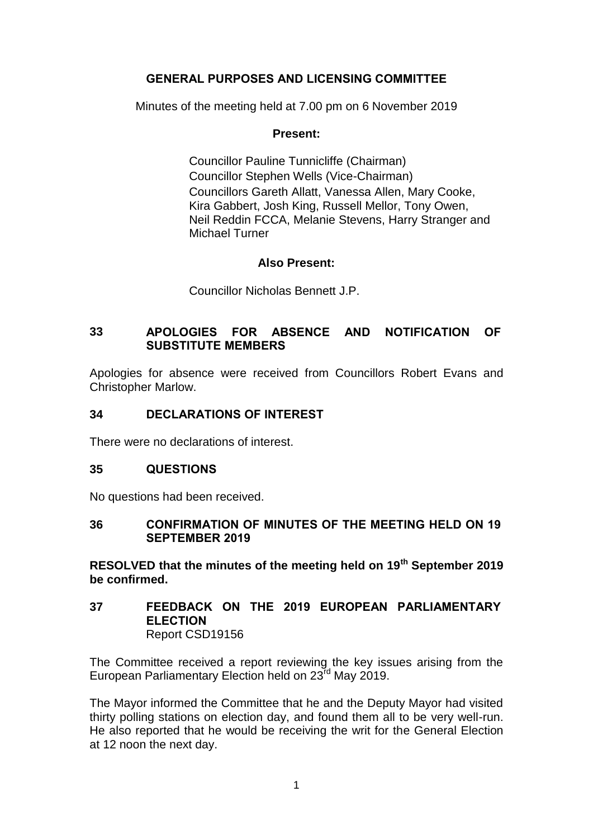# **GENERAL PURPOSES AND LICENSING COMMITTEE**

Minutes of the meeting held at 7.00 pm on 6 November 2019

## **Present:**

Councillor Pauline Tunnicliffe (Chairman) Councillor Stephen Wells (Vice-Chairman) Councillors Gareth Allatt, Vanessa Allen, Mary Cooke, Kira Gabbert, Josh King, Russell Mellor, Tony Owen, Neil Reddin FCCA, Melanie Stevens, Harry Stranger and Michael Turner

## **Also Present:**

Councillor Nicholas Bennett J.P.

## **33 APOLOGIES FOR ABSENCE AND NOTIFICATION OF SUBSTITUTE MEMBERS**

Apologies for absence were received from Councillors Robert Evans and Christopher Marlow.

#### **34 DECLARATIONS OF INTEREST**

There were no declarations of interest.

## **35 QUESTIONS**

No questions had been received.

### **36 CONFIRMATION OF MINUTES OF THE MEETING HELD ON 19 SEPTEMBER 2019**

**RESOLVED that the minutes of the meeting held on 19th September 2019 be confirmed.**

#### **37 FEEDBACK ON THE 2019 EUROPEAN PARLIAMENTARY ELECTION** Report CSD19156

The Committee received a report reviewing the key issues arising from the European Parliamentary Election held on 23<sup>rd</sup> May 2019.

The Mayor informed the Committee that he and the Deputy Mayor had visited thirty polling stations on election day, and found them all to be very well-run. He also reported that he would be receiving the writ for the General Election at 12 noon the next day.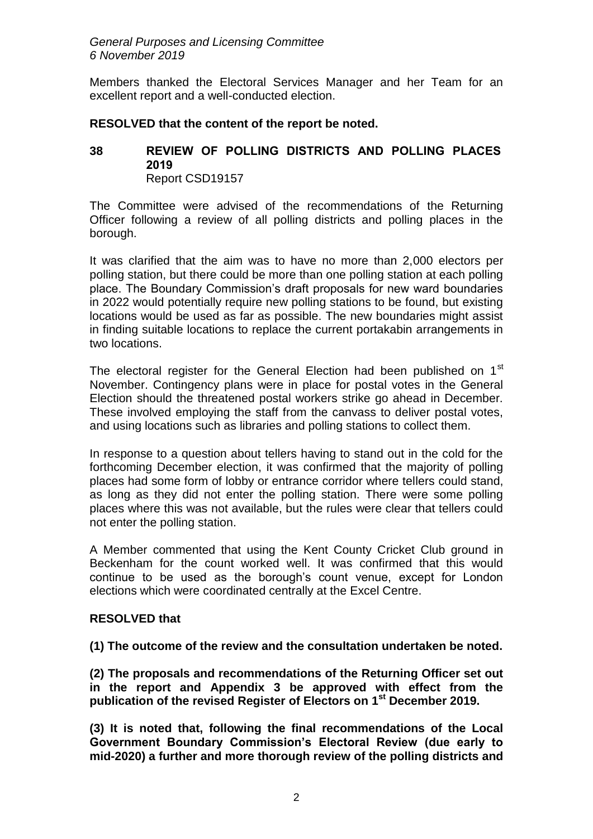#### *General Purposes and Licensing Committee 6 November 2019*

Members thanked the Electoral Services Manager and her Team for an excellent report and a well-conducted election.

## **RESOLVED that the content of the report be noted.**

## **38 REVIEW OF POLLING DISTRICTS AND POLLING PLACES 2019** Report CSD19157

The Committee were advised of the recommendations of the Returning Officer following a review of all polling districts and polling places in the borough.

It was clarified that the aim was to have no more than 2,000 electors per polling station, but there could be more than one polling station at each polling place. The Boundary Commission's draft proposals for new ward boundaries in 2022 would potentially require new polling stations to be found, but existing locations would be used as far as possible. The new boundaries might assist in finding suitable locations to replace the current portakabin arrangements in two locations.

The electoral register for the General Election had been published on 1<sup>st</sup> November. Contingency plans were in place for postal votes in the General Election should the threatened postal workers strike go ahead in December. These involved employing the staff from the canvass to deliver postal votes, and using locations such as libraries and polling stations to collect them.

In response to a question about tellers having to stand out in the cold for the forthcoming December election, it was confirmed that the majority of polling places had some form of lobby or entrance corridor where tellers could stand, as long as they did not enter the polling station. There were some polling places where this was not available, but the rules were clear that tellers could not enter the polling station.

A Member commented that using the Kent County Cricket Club ground in Beckenham for the count worked well. It was confirmed that this would continue to be used as the borough's count venue, except for London elections which were coordinated centrally at the Excel Centre.

# **RESOLVED that**

## **(1) The outcome of the review and the consultation undertaken be noted.**

**(2) The proposals and recommendations of the Returning Officer set out in the report and Appendix 3 be approved with effect from the publication of the revised Register of Electors on 1st December 2019.**

**(3) It is noted that, following the final recommendations of the Local Government Boundary Commission's Electoral Review (due early to mid-2020) a further and more thorough review of the polling districts and**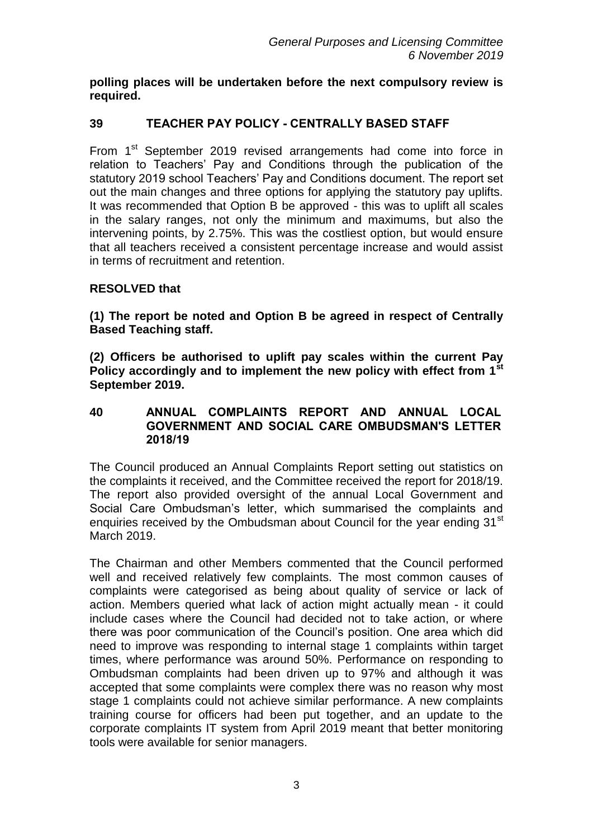**polling places will be undertaken before the next compulsory review is required.** 

# **39 TEACHER PAY POLICY - CENTRALLY BASED STAFF**

From 1<sup>st</sup> September 2019 revised arrangements had come into force in relation to Teachers' Pay and Conditions through the publication of the statutory 2019 school Teachers' Pay and Conditions document. The report set out the main changes and three options for applying the statutory pay uplifts. It was recommended that Option B be approved - this was to uplift all scales in the salary ranges, not only the minimum and maximums, but also the intervening points, by 2.75%. This was the costliest option, but would ensure that all teachers received a consistent percentage increase and would assist in terms of recruitment and retention.

## **RESOLVED that**

**(1) The report be noted and Option B be agreed in respect of Centrally Based Teaching staff.**

**(2) Officers be authorised to uplift pay scales within the current Pay Policy accordingly and to implement the new policy with effect from 1st September 2019.** 

### **40 ANNUAL COMPLAINTS REPORT AND ANNUAL LOCAL GOVERNMENT AND SOCIAL CARE OMBUDSMAN'S LETTER 2018/19**

The Council produced an Annual Complaints Report setting out statistics on the complaints it received, and the Committee received the report for 2018/19. The report also provided oversight of the annual Local Government and Social Care Ombudsman's letter, which summarised the complaints and enquiries received by the Ombudsman about Council for the year ending 31<sup>st</sup> March 2019.

The Chairman and other Members commented that the Council performed well and received relatively few complaints. The most common causes of complaints were categorised as being about quality of service or lack of action. Members queried what lack of action might actually mean - it could include cases where the Council had decided not to take action, or where there was poor communication of the Council's position. One area which did need to improve was responding to internal stage 1 complaints within target times, where performance was around 50%. Performance on responding to Ombudsman complaints had been driven up to 97% and although it was accepted that some complaints were complex there was no reason why most stage 1 complaints could not achieve similar performance. A new complaints training course for officers had been put together, and an update to the corporate complaints IT system from April 2019 meant that better monitoring tools were available for senior managers.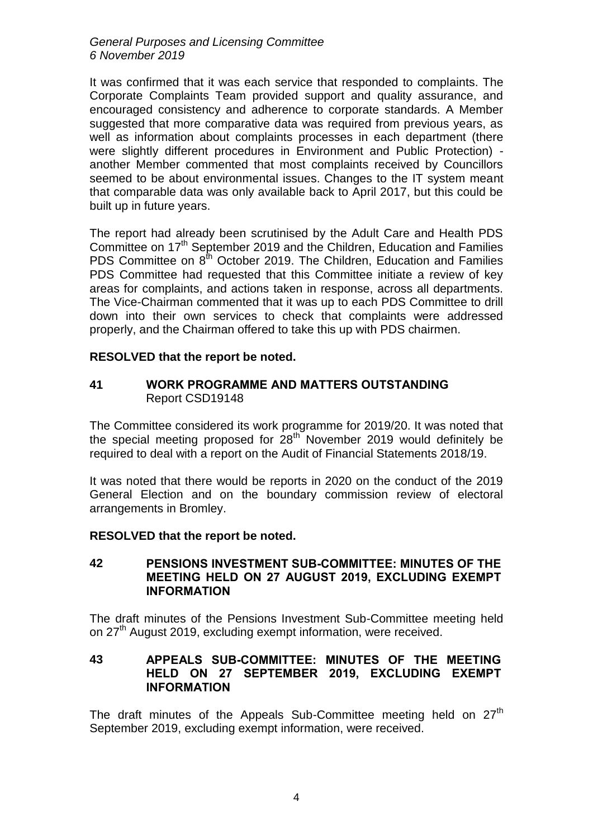*General Purposes and Licensing Committee 6 November 2019*

It was confirmed that it was each service that responded to complaints. The Corporate Complaints Team provided support and quality assurance, and encouraged consistency and adherence to corporate standards. A Member suggested that more comparative data was required from previous years, as well as information about complaints processes in each department (there were slightly different procedures in Environment and Public Protection) another Member commented that most complaints received by Councillors seemed to be about environmental issues. Changes to the IT system meant that comparable data was only available back to April 2017, but this could be built up in future years.

The report had already been scrutinised by the Adult Care and Health PDS Committee on 17<sup>th</sup> September 2019 and the Children, Education and Families PDS Committee on 8<sup>th</sup> October 2019. The Children, Education and Families PDS Committee had requested that this Committee initiate a review of key areas for complaints, and actions taken in response, across all departments. The Vice-Chairman commented that it was up to each PDS Committee to drill down into their own services to check that complaints were addressed properly, and the Chairman offered to take this up with PDS chairmen.

### **RESOLVED that the report be noted.**

### **41 WORK PROGRAMME AND MATTERS OUTSTANDING** Report CSD19148

The Committee considered its work programme for 2019/20. It was noted that the special meeting proposed for  $28<sup>th</sup>$  November 2019 would definitely be required to deal with a report on the Audit of Financial Statements 2018/19.

It was noted that there would be reports in 2020 on the conduct of the 2019 General Election and on the boundary commission review of electoral arrangements in Bromley.

## **RESOLVED that the report be noted.**

## **42 PENSIONS INVESTMENT SUB-COMMITTEE: MINUTES OF THE MEETING HELD ON 27 AUGUST 2019, EXCLUDING EXEMPT INFORMATION**

The draft minutes of the Pensions Investment Sub-Committee meeting held on 27<sup>th</sup> August 2019, excluding exempt information, were received.

### **43 APPEALS SUB-COMMITTEE: MINUTES OF THE MEETING HELD ON 27 SEPTEMBER 2019, EXCLUDING EXEMPT INFORMATION**

The draft minutes of the Appeals Sub-Committee meeting held on  $27<sup>th</sup>$ September 2019, excluding exempt information, were received.